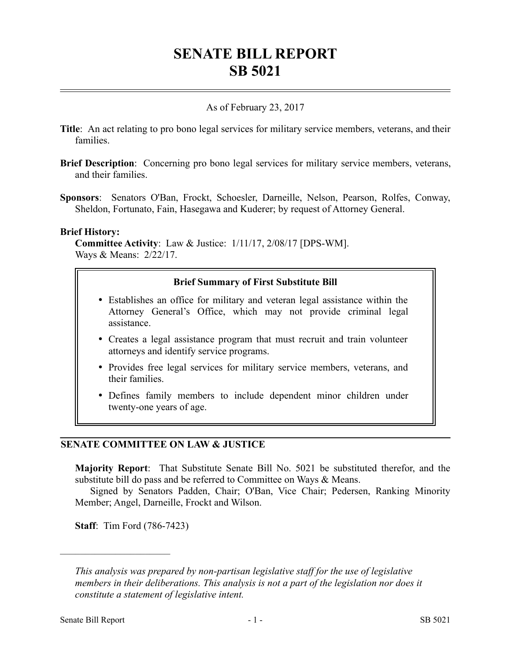# **SENATE BILL REPORT SB 5021**

# As of February 23, 2017

- **Title**: An act relating to pro bono legal services for military service members, veterans, and their families.
- **Brief Description**: Concerning pro bono legal services for military service members, veterans, and their families.
- **Sponsors**: Senators O'Ban, Frockt, Schoesler, Darneille, Nelson, Pearson, Rolfes, Conway, Sheldon, Fortunato, Fain, Hasegawa and Kuderer; by request of Attorney General.

#### **Brief History:**

**Committee Activity**: Law & Justice: 1/11/17, 2/08/17 [DPS-WM]. Ways & Means: 2/22/17.

#### **Brief Summary of First Substitute Bill**

- Establishes an office for military and veteran legal assistance within the Attorney General's Office, which may not provide criminal legal assistance.
- Creates a legal assistance program that must recruit and train volunteer attorneys and identify service programs.
- Provides free legal services for military service members, veterans, and their families.
- Defines family members to include dependent minor children under twenty-one years of age.

## **SENATE COMMITTEE ON LAW & JUSTICE**

**Majority Report**: That Substitute Senate Bill No. 5021 be substituted therefor, and the substitute bill do pass and be referred to Committee on Ways & Means.

Signed by Senators Padden, Chair; O'Ban, Vice Chair; Pedersen, Ranking Minority Member; Angel, Darneille, Frockt and Wilson.

**Staff**: Tim Ford (786-7423)

––––––––––––––––––––––

*This analysis was prepared by non-partisan legislative staff for the use of legislative members in their deliberations. This analysis is not a part of the legislation nor does it constitute a statement of legislative intent.*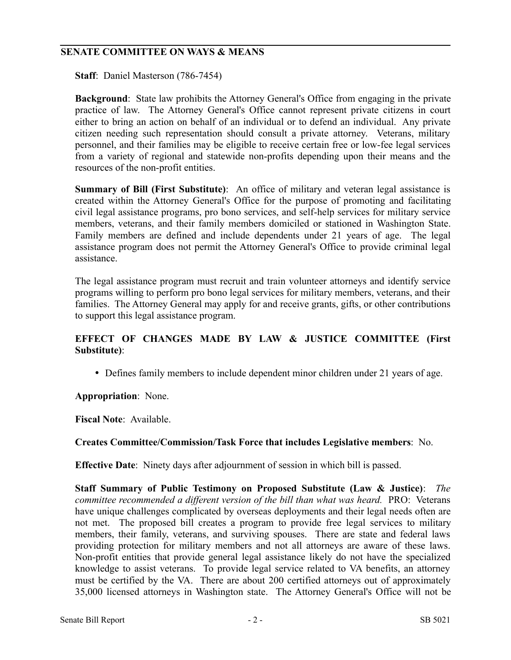### **SENATE COMMITTEE ON WAYS & MEANS**

**Staff**: Daniel Masterson (786-7454)

**Background**: State law prohibits the Attorney General's Office from engaging in the private practice of law. The Attorney General's Office cannot represent private citizens in court either to bring an action on behalf of an individual or to defend an individual. Any private citizen needing such representation should consult a private attorney. Veterans, military personnel, and their families may be eligible to receive certain free or low-fee legal services from a variety of regional and statewide non-profits depending upon their means and the resources of the non-profit entities.

**Summary of Bill (First Substitute)**: An office of military and veteran legal assistance is created within the Attorney General's Office for the purpose of promoting and facilitating civil legal assistance programs, pro bono services, and self-help services for military service members, veterans, and their family members domiciled or stationed in Washington State. Family members are defined and include dependents under 21 years of age. The legal assistance program does not permit the Attorney General's Office to provide criminal legal assistance.

The legal assistance program must recruit and train volunteer attorneys and identify service programs willing to perform pro bono legal services for military members, veterans, and their families. The Attorney General may apply for and receive grants, gifts, or other contributions to support this legal assistance program.

## **EFFECT OF CHANGES MADE BY LAW & JUSTICE COMMITTEE (First Substitute)**:

Defines family members to include dependent minor children under 21 years of age.

#### **Appropriation**: None.

**Fiscal Note**: Available.

#### **Creates Committee/Commission/Task Force that includes Legislative members**: No.

**Effective Date**: Ninety days after adjournment of session in which bill is passed.

**Staff Summary of Public Testimony on Proposed Substitute (Law & Justice)**: *The committee recommended a different version of the bill than what was heard.* PRO: Veterans have unique challenges complicated by overseas deployments and their legal needs often are not met. The proposed bill creates a program to provide free legal services to military members, their family, veterans, and surviving spouses. There are state and federal laws providing protection for military members and not all attorneys are aware of these laws. Non-profit entities that provide general legal assistance likely do not have the specialized knowledge to assist veterans. To provide legal service related to VA benefits, an attorney must be certified by the VA. There are about 200 certified attorneys out of approximately 35,000 licensed attorneys in Washington state. The Attorney General's Office will not be